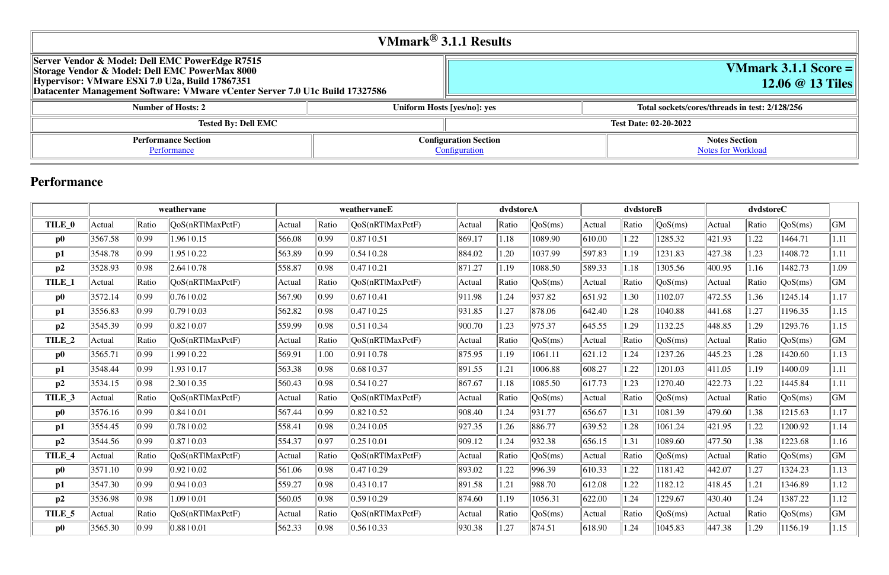| VMmark <sup>®</sup> 3.1.1 Results                                                                                                                                                                                                    |  |                             |                              |  |  |  |  |  |
|--------------------------------------------------------------------------------------------------------------------------------------------------------------------------------------------------------------------------------------|--|-----------------------------|------------------------------|--|--|--|--|--|
| Server Vendor & Model: Dell EMC PowerEdge R7515<br>Storage Vendor & Model: Dell EMC PowerMax 8000<br>Hypervisor: VMware ESXi 7.0 U2a, Build 17867351<br>Datacenter Management Software: VMware vCenter Server 7.0 U1c Build 17327586 |  |                             |                              |  |  |  |  |  |
| <b>Number of Hosts: 2</b>                                                                                                                                                                                                            |  | Uniform Hosts [yes/no]: yes | Total sockets/c              |  |  |  |  |  |
| <b>Tested By: Dell EMC</b>                                                                                                                                                                                                           |  |                             | <b>Test Date: 02-20-2022</b> |  |  |  |  |  |

# **VMmark 3.1.1 Score = 12.06 @ 13 Tiles**

#### **Number of Number System Inserts: 2/128/256**

| .<br>tion | non<br>^™ |  |
|-----------|-----------|--|
|           |           |  |
|           |           |  |

#### **Notes Section** [Notes for Workload](file:///Users/griderr/Documents/ReviewPanel/0405/other-updated-disclosures/2022-03-21-DellEMC-PowerEdge-R7515.html#NotesForWorkload)

## **Performance**

|                   | weathervane |       | weathervaneE     |        | dvdstoreA |                    | dvdstoreB |       |         | dvdstoreC |       |         |        |       |         |      |
|-------------------|-------------|-------|------------------|--------|-----------|--------------------|-----------|-------|---------|-----------|-------|---------|--------|-------|---------|------|
| TILE_0            | Actual      | Ratio | QoS(nRTIMaxPctF) | Actual | Ratio     | QoS(nRTIMaxPctF)   | Actual    | Ratio | QoS(ms) | Actual    | Ratio | QoS(ms) | Actual | Ratio | QoS(ms) | GM   |
| $\bf p0$          | 3567.58     | 0.99  | 1.96   0.15      | 566.08 | 0.99      | 0.87 0.51          | 869.17    | 1.18  | 1089.90 | 610.00    | 1.22  | 1285.32 | 421.93 | 1.22  | 1464.71 | 1.11 |
| p1                | 3548.78     | 0.99  | 1.95   0.22      | 563.89 | 0.99      | 0.54 0.28          | 884.02    | 1.20  | 1037.99 | 597.83    | 1.19  | 1231.83 | 427.38 | 1.23  | 1408.72 | 1.11 |
| p2                | 3528.93     | 0.98  | 2.64   0.78      | 558.87 | 0.98      | 0.47  0.21         | 871.27    | 1.19  | 1088.50 | 589.33    | 1.18  | 1305.56 | 400.95 | 1.16  | 1482.73 | 1.09 |
| TILE_1            | Actual      | Ratio | QoS(nRTlMaxPctF) | Actual | Ratio     | QoS(nRTlMaxPctF)   | Actual    | Ratio | QoS(ms) | Actual    | Ratio | QoS(ms) | Actual | Ratio | QoS(ms) | GM   |
| $\bf p0$          | 3572.14     | 0.99  | 0.7610.02        | 567.90 | 0.99      | 0.67  0.41         | 911.98    | 1.24  | 937.82  | 651.92    | 1.30  | 1102.07 | 472.55 | 1.36  | 1245.14 | 1.17 |
| p1                | 3556.83     | 0.99  | 0.7910.03        | 562.82 | 0.98      | 0.47 10.25         | 931.85    | 1.27  | 878.06  | 642.40    | 1.28  | 1040.88 | 441.68 | 1.27  | 1196.35 | 1.15 |
| p2                | 3545.39     | 0.99  | 0.8210.07        | 559.99 | 0.98      | 0.51 0.34          | 900.70    | 1.23  | 975.37  | 645.55    | 1.29  | 1132.25 | 448.85 | 1.29  | 1293.76 | 1.15 |
| TILE <sub>2</sub> | Actual      | Ratio | QoS(nRTlMaxPctF) | Actual | Ratio     | QoS(nRTlMaxPctF)   | Actual    | Ratio | QoS(ms) | Actual    | Ratio | QoS(ms) | Actual | Ratio | QoS(ms) | GM   |
| $\bf p0$          | 3565.71     | 0.99  | 1.99   0.22      | 569.91 | 1.00      | 0.91 0.78          | 875.95    | 1.19  | 1061.11 | 621.12    | 1.24  | 1237.26 | 445.23 | 1.28  | 1420.60 | 1.13 |
| p1                | 3548.44     | 0.99  | 1.93   0.17      | 563.38 | 0.98      | 0.6810.37          | 891.55    | 1.21  | 1006.88 | 608.27    | 1.22  | 1201.03 | 411.05 | 1.19  | 1400.09 | 1.11 |
| p2                | 3534.15     | 0.98  | 2.30   0.35      | 560.43 | 0.98      | 0.5410.27          | 867.67    | 1.18  | 1085.50 | 617.73    | 1.23  | 1270.40 | 422.73 | 1.22  | 1445.84 | 1.11 |
| TILE_3            | Actual      | Ratio | QoS(nRTlMaxPctF) | Actual | Ratio     | QoS(nRT MaxPctF)   | Actual    | Ratio | QoS(ms) | Actual    | Ratio | QoS(ms) | Actual | Ratio | QoS(ms) | GM   |
| $\bf p0$          | 3576.16     | 0.99  | 0.8410.01        | 567.44 | 0.99      | $0.82 \times 0.52$ | 908.40    | 1.24  | 931.77  | 656.67    | 1.31  | 1081.39 | 479.60 | 1.38  | 1215.63 | 1.17 |
| p1                | 3554.45     | 0.99  | 0.7810.02        | 558.41 | 0.98      | 0.24  0.05         | 927.35    | 1.26  | 886.77  | 639.52    | 1.28  | 1061.24 | 421.95 | 1.22  | 1200.92 | 1.14 |
| p2                | 3544.56     | 0.99  | 0.8710.03        | 554.37 | 0.97      | 0.2510.01          | 909.12    | 1.24  | 932.38  | 656.15    | 1.31  | 1089.60 | 477.50 | 1.38  | 1223.68 | 1.16 |
| TILE_4            | Actual      | Ratio | QoS(nRTlMaxPctF) | Actual | Ratio     | QoS(nRTlMaxPctF)   | Actual    | Ratio | QoS(ms) | Actual    | Ratio | QoS(ms) | Actual | Ratio | QoS(ms) | GM   |
| $\bf p0$          | 3571.10     | 0.99  | 0.9210.02        | 561.06 | 0.98      | 0.4710.29          | 893.02    | 1.22  | 996.39  | 610.33    | 1.22  | 1181.42 | 442.07 | 1.27  | 1324.23 | 1.13 |
| p1                | 3547.30     | 0.99  | 0.9410.03        | 559.27 | 0.98      | 0.43 10.17         | 891.58    | 1.21  | 988.70  | 612.08    | 1.22  | 1182.12 | 418.45 | 1.21  | 1346.89 | 1.12 |
| p2                | 3536.98     | 0.98  | 1.0910.01        | 560.05 | 0.98      | 0.59 0.29          | 874.60    | 1.19  | 1056.31 | 622.00    | 1.24  | 1229.67 | 430.40 | 1.24  | 1387.22 | 1.12 |
| TILE_5            | Actual      | Ratio | QoS(nRTlMaxPctF) | Actual | Ratio     | QoS(nRTlMaxPctF)   | Actual    | Ratio | QoS(ms) | Actual    | Ratio | QoS(ms) | Actual | Ratio | QoS(ms) | GM   |
| $\bf p0$          | 3565.30     | 0.99  | 0.8810.01        | 562.33 | 0.98      | 0.5610.33          | 930.38    | 1.27  | 874.51  | 618.90    | 1.24  | 1045.83 | 447.38 | 1.29  | 1156.19 | 1.15 |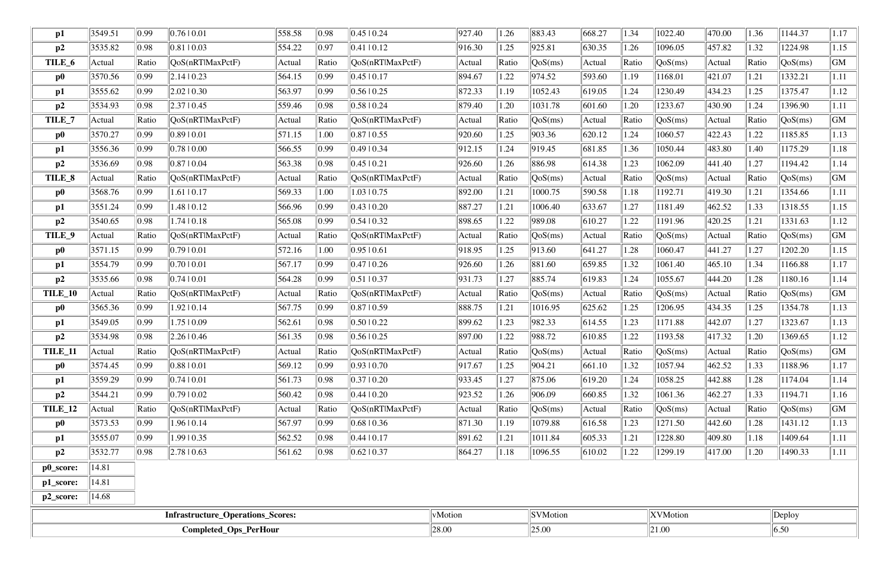| $\mathbf{p1}$  | 3549.51 | 0.99           | 0.76 0.01                         | 558.58               | 0.98             | 0.4510.24         | 927.40         | 1.26             | 883.43           | 668.27 | 1.34  | 1022.40         | 470.00 | 1.36  | 1144.37                          | 1.17      |
|----------------|---------|----------------|-----------------------------------|----------------------|------------------|-------------------|----------------|------------------|------------------|--------|-------|-----------------|--------|-------|----------------------------------|-----------|
| p2             | 3535.82 | 0.98           | 0.81 0.03                         | 554.22               | 0.97             | $0.41$   $0.12$   | 916.30         | 1.25             | 925.81           | 630.35 | 1.26  | 1096.05         | 457.82 | 1.32  | 1224.98                          | 1.15      |
| TILE_6         | Actual  | Ratio          | QoS(nRT MaxPctF)                  | Actual               | Ratio            | QoS(nRT MaxPctF)  | Actual         | Ratio            | QoS(ms)          | Actual | Ratio | QoS(ms)         | Actual | Ratio | QoS(ms)                          | <b>GM</b> |
| $\bf p0$       | 3570.56 | 0.99           | 2.14 10.23                        | 564.15               | 0.99             | 0.4510.17         | 894.67         | 1.22             | 974.52           | 593.60 | 1.19  | 168.01          | 421.07 | 1.21  | 1332.21                          | 1.11      |
| $\mathbf{p1}$  | 3555.62 | 0.99           | 2.02 0.30                         | 563.97               | 0.99             | 0.5610.25         | 872.33         | 1.19             | 1052.43          | 619.05 | 1.24  | 1230.49         | 434.23 | 1.25  | 1375.47                          | 1.12      |
| p2             | 3534.93 | 0.98           | 2.37 0.45                         | 559.46               | 0.98             | 0.5810.24         | 879.40         | 1.20             | 1031.78          | 601.60 | 1.20  | 1233.67         | 430.90 | 1.24  | 1396.90                          | 1.11      |
| TILE_7         | Actual  | Ratio          | QoS(nRT MaxPctF)                  | Actual               | Ratio            | QoS(nRT MaxPctF)  | Actual         | Ratio            | QoS(ms)          | Actual | Ratio | QoS(ms)         | Actual | Ratio | $\cos(ms)$                       | <b>GM</b> |
| $\bf p0$       | 3570.27 | 0.99           | 0.89 0.01                         | $\parallel$ 571.15   | 1.00             | 0.8710.55         | 920.60         | 1.25             | 903.36           | 620.12 | 1.24  | 1060.57         | 422.43 | 1.22  | 1185.85                          | 1.13      |
| $\mathbf{p1}$  | 3556.36 | 0.99           | 0.78 0.00                         | 566.55               | 0.99             | 0.4910.34         | 912.15         | 1.24             | 919.45           | 681.85 | 1.36  | 1050.44         | 483.80 | 1.40  | 1175.29                          | 1.18      |
| p2             | 3536.69 | 0.98           | 0.87 0.04                         | 563.38               | $\parallel$ 0.98 | 0.4510.21         | 926.60         | 1.26             | 886.98           | 614.38 | 1.23  | 1062.09         | 441.40 | 1.27  | 1194.42                          | 1.14      |
| TILE_8         | Actual  | Ratio          | QoS(nRTIMaxPctF)                  | Actual               | Ratio            | QoS(nRTlMaxPctF)  | Actual         | Ratio            | QoS(ms)          | Actual | Ratio | QoS(ms)         | Actual | Ratio | QoS(ms)                          | GM        |
| $\bf p0$       | 3568.76 | 0.99           | $1.61 \mid 0.17$                  | 569.33               | 1.00             | $1.03 \mid 0.75$  | 892.00         | 1.21             | 1000.75          | 590.58 | 1.18  | 192.71          | 419.30 | 1.21  | 1354.66                          | 1.11      |
| p1             | 3551.24 | 0.99           | 1.48   0.12                       | 566.96               | $\parallel$ 0.99 | $0.43 \pm 0.20$   | 887.27         | 1.21             | 1006.40          | 633.67 | 1.27  | 1181.49         | 462.52 | 1.33  | 1318.55                          | 1.15      |
| p2             | 3540.65 | 0.98           | 1.7410.18                         | 565.08               | 0.99             | 0.5410.32         | 898.65         | 1.22             | 989.08           | 610.27 | 1.22  | 1191.96         | 420.25 | 1.21  | 1331.63                          | 1.12      |
| TILE_9         | Actual  | Ratio          | $\text{QoS}(nRTIMaxPctF)$         | Actual               | Ratio            | QoS(nRTIMaxPctF)  | Actual         | Ratio            | QoS(ms)          | Actual | Ratio | QoS(ms)         | Actual | Ratio | QoS(ms)                          | <b>GM</b> |
| $\bf p0$       | 3571.15 | 0.99           | 0.79 0.01                         | $\vert 572.16 \vert$ | 1.00             | $0.95 \mid 0.61$  | 918.95         | 1.25             | 913.60           | 641.27 | 1.28  | 1060.47         | 441.27 | 1.27  | 1202.20                          | 1.15      |
| $\mathbf{p1}$  | 3554.79 | 0.99           | 0.7010.01                         | 567.17               | 0.99             | 0.4710.26         | 926.60         | 1.26             | 881.60           | 659.85 | 1.32  | 1061.40         | 465.10 | 1.34  | 1166.88                          | 1.17      |
| p2             | 3535.66 | 0.98           | 0.74 0.01                         | 564.28               | 0.99             | 0.5110.37         | 931.73         | 1.27             | 885.74           | 619.83 | 1.24  | 1055.67         | 444.20 | 1.28  | 1180.16                          | 1.14      |
| TILE_10        | Actual  | Ratio          | QoS(nRT MaxPctF)                  | Actual               | Ratio            | QoS(nRTIMaxPctF)  | Actual         | Ratio            | QoS(ms)          | Actual | Ratio | QoS(ms)         | Actual | Ratio | QoS(ms)                          | <b>GM</b> |
| $\bf p0$       | 3565.36 | 0.99           | 1.92   0.14                       | 567.75               | 0.99             | 0.8710.59         | 888.75         | 1.21             | 1016.95          | 625.62 | 1.25  | 1206.95         | 434.35 | 1.25  | 1354.78                          | 1.13      |
| p1             | 3549.05 | 0.99           | $1.75 \mid 0.09$                  | 562.61               | 0.98             | 0.5010.22         | 899.62         | 1.23             | 982.33           | 614.55 | 1.23  | 1171.88         | 442.07 | 1.27  | 1323.67                          | 1.13      |
| p2             | 3534.98 | 0.98           | 2.26 0.46                         | 561.35               | 0.98             | 0.5610.25         | 897.00         | 1.22             | 988.72           | 610.85 | 1.22  | 1193.58         | 417.32 | 1.20  | 1369.65                          | 1.12      |
| <b>TILE_11</b> | Actual  | Ratio          | $\sqrt{QoS(nRT)MaxPctF}$          | Actual               | Ratio            | QoS(nRTlMaxPctF)  | Actual         | Ratio            | $\sqrt{QoS(ms)}$ | Actual | Ratio | QoS(ms)         | Actual | Ratio | $\left\vert \right\vert QoS(ms)$ | GM        |
| $\bf p0$       | 3574.45 | $ 0.99\rangle$ | 0.88 0.01                         | 569.12               | $\parallel$ 0.99 | $0.93 \mid 0.70$  | 917.67         | 1.25             | 904.21           | 661.10 | 1.32  | 1057.94         | 462.52 | 1.33  | 1188.96                          | 1.17      |
| p1             | 3559.29 | $ 0.99\rangle$ | 0.74 0.01                         | 561.73               | $\parallel$ 0.98 | $0.37 \, \, 0.20$ | 933.45         | 1.27             | $\ 875.06\ $     | 619.20 | 1.24  | 1058.25         | 442.88 | 1.28  | 1174.04                          | 1.14      |
| p2             | 3544.21 | $ 0.99\rangle$ | 0.7910.02                         | 560.42               | 0.98             | $0.44 \pm 0.20$   | 923.52         | 1.26             | 906.09           | 660.85 | 1.32  | 1061.36         | 462.27 | 1.33  | 1194.71                          | 1.16      |
| TILE_12        | Actual  | Ratio          | OoS(nRT MaxPctF)                  | Actual               | Ratio            | QoS(nRTlMaxPctF)  | Actual         | Ratio            | $\sqrt{QoS(ms)}$ | Actual | Ratio | QoS(ms)         | Actual | Ratio | $\sqrt{QoS(ms)}$                 | GM        |
| $\bf p0$       | 3573.53 | $ 0.99\rangle$ | 1.96   0.14                       | 567.97               | $\parallel$ 0.99 | $0.68 \mid 0.36$  | 871.30         | 1.19             | 1079.88          | 616.58 | 1.23  | 1271.50         | 442.60 | 1.28  | 1431.12                          | 1.13      |
| p1             | 3555.07 | 0.99           | 1.99   0.35                       | 562.52               | 0.98             | 0.4410.17         | 891.62         | 1.21             | 1011.84          | 605.33 | 1.21  | 1228.80         | 409.80 | 1.18  | 1409.64                          | 1.11      |
| p2             | 3532.77 | 0.98           | $\vert 2.78 \vert 0.63 \vert$     | 561.62               | 0.98             | $0.62 \mid 0.37$  | 864.27         | $\parallel$ 1.18 | 1096.55          | 610.02 | 1.22  | 1299.19         | 417.00 | 1.20  | 1490.33                          | 1.11      |
| p0_score:      | 14.81   |                |                                   |                      |                  |                   |                |                  |                  |        |       |                 |        |       |                                  |           |
| p1_score:      | 14.81   |                |                                   |                      |                  |                   |                |                  |                  |        |       |                 |        |       |                                  |           |
| p2_score:      | 14.68   |                |                                   |                      |                  |                   |                |                  |                  |        |       |                 |        |       |                                  |           |
|                |         |                | Infrastructure_Operations_Scores: |                      |                  |                   | vMotion        |                  | <b>SVMotion</b>  |        |       | <b>XVMotion</b> |        |       | Deploy                           |           |
|                |         |                | <b>Completed_Ops_PerHour</b>      |                      |                  |                   | 28.00<br>25.00 |                  |                  | 21.00  |       |                 |        | 6.50  |                                  |           |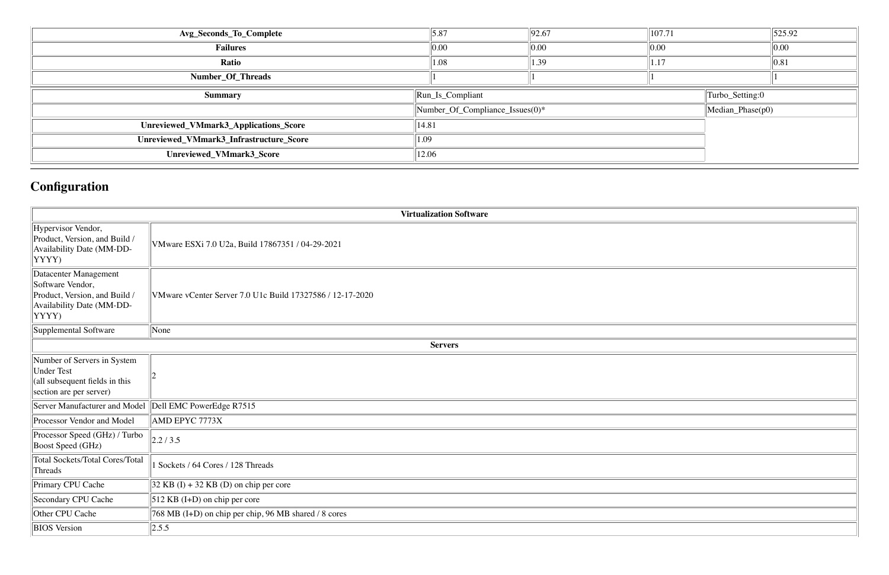| Avg_Seconds_To_Complete                 | 5.87                                                               | 92.67              | 107.71     |  | $\ 525.92\ $      |
|-----------------------------------------|--------------------------------------------------------------------|--------------------|------------|--|-------------------|
| <b>Failures</b>                         | $0.0^\parallel$                                                    | 0.00               | $\ 0.00\ $ |  | 0.00              |
| Ratio                                   | 1.08                                                               | 1.39               | 1.17       |  | $\vert\vert 0.81$ |
| Number_Of_Threads                       |                                                                    |                    |            |  |                   |
| <b>Summary</b>                          | $\left\vert \text{Run}\_{\text{Is}\_{\text{Compliant}}\right\vert$ | Turbo_Setting:0    |            |  |                   |
|                                         | Number_Of_Compliance_Issues(0)*                                    | $Median_Phase(p0)$ |            |  |                   |
| Unreviewed_VMmark3_Applications_Score   | 14.81                                                              |                    |            |  |                   |
| Unreviewed_VMmark3_Infrastructure_Score | 1.09                                                               |                    |            |  |                   |
| Unreviewed_VMmark3_Score                | 12.06                                                              |                    |            |  |                   |

# **Configuration**

|                                                                                                                         | <b>Virtualization Software</b>                            |
|-------------------------------------------------------------------------------------------------------------------------|-----------------------------------------------------------|
| Hypervisor Vendor,<br>Product, Version, and Build /<br>Availability Date (MM-DD-<br>YYYY)                               | VMware ESXi 7.0 U2a, Build 17867351 / 04-29-2021          |
| Datacenter Management<br>Software Vendor,<br>Product, Version, and Build /<br>Availability Date (MM-DD-<br>YYYY)        | VMware vCenter Server 7.0 U1c Build 17327586 / 12-17-2020 |
| Supplemental Software                                                                                                   | None                                                      |
|                                                                                                                         | <b>Servers</b>                                            |
| Number of Servers in System<br><b>Under Test</b><br>$\alpha$  (all subsequent fields in this<br>section are per server) |                                                           |
| Server Manufacturer and Model                                                                                           | Dell EMC PowerEdge R7515                                  |
| Processor Vendor and Model                                                                                              | AMD EPYC 7773X                                            |
| Processor Speed (GHz) / Turbo<br>Boost Speed (GHz)                                                                      | 2.2/3.5                                                   |
| Total Sockets/Total Cores/Total<br>Threads                                                                              | Sockets / 64 Cores / 128 Threads                          |
| Primary CPU Cache                                                                                                       | $32$ KB (I) + 32 KB (D) on chip per core                  |
| Secondary CPU Cache                                                                                                     | $512$ KB (I+D) on chip per core                           |
| Other CPU Cache                                                                                                         | 768 MB (I+D) on chip per chip, 96 MB shared / 8 cores     |
| <b>BIOS</b> Version                                                                                                     | 2.5.5                                                     |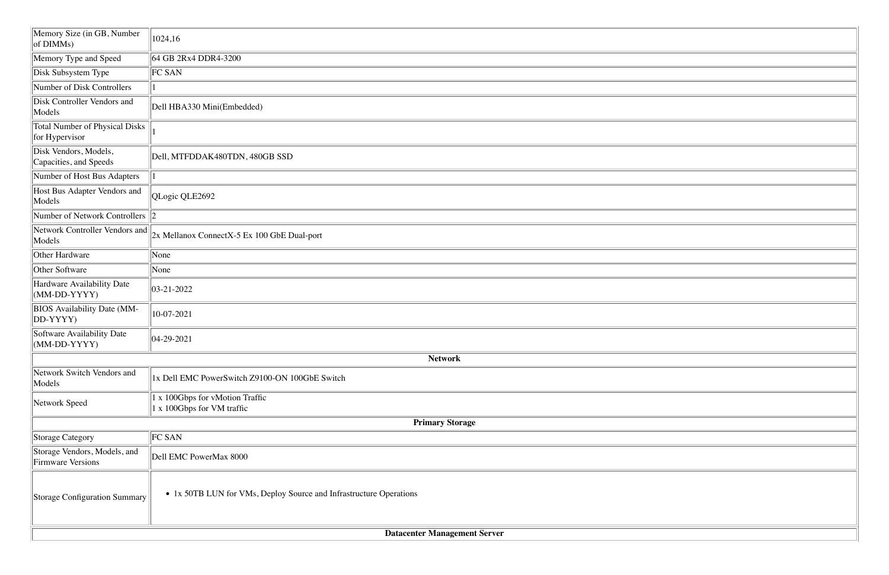|                                                          | <b>Datacenter Management Server</b>                                |
|----------------------------------------------------------|--------------------------------------------------------------------|
| <b>Storage Configuration Summary</b>                     | • 1x 50TB LUN for VMs, Deploy Source and Infrastructure Operations |
| Storage Vendors, Models, and<br><b>Firmware Versions</b> | Dell EMC PowerMax 8000                                             |
| <b>Storage Category</b>                                  | FC SAN                                                             |
|                                                          | <b>Primary Storage</b>                                             |
| Network Speed                                            | 1 x 100Gbps for vMotion Traffic<br>1 x 100Gbps for VM traffic      |
| Network Switch Vendors and<br>Models                     | 1x Dell EMC PowerSwitch Z9100-ON 100GbE Switch                     |
| $\vert$ (MM-DD-YYYY)                                     | <b>Network</b>                                                     |
| Software Availability Date                               | $ 04-29-2021$                                                      |
| <b>BIOS</b> Availability Date (MM-<br>$ DD-YYYY$         | 10-07-2021                                                         |
| Hardware Availability Date<br>$(MM-DD-YYYY)$             | $ 03-21-2022 $                                                     |
| Other Software                                           | None                                                               |
| Other Hardware                                           | None                                                               |
| Network Controller Vendors and<br>Models                 | 2x Mellanox ConnectX-5 Ex 100 GbE Dual-port                        |
| Number of Network Controllers $\ 2\ $                    |                                                                    |
| Host Bus Adapter Vendors and<br>Models                   | QLogic QLE2692                                                     |
| Number of Host Bus Adapters                              |                                                                    |
| Disk Vendors, Models,<br>Capacities, and Speeds          | Dell, MTFDDAK480TDN, 480GB SSD                                     |
| <b>Total Number of Physical Disks</b><br>for Hypervisor  |                                                                    |
| Disk Controller Vendors and<br>Models                    | Dell HBA330 Mini(Embedded)                                         |
| Number of Disk Controllers                               |                                                                    |
| Disk Subsystem Type                                      | <b>FC SAN</b>                                                      |
| Memory Type and Speed                                    | 64 GB 2Rx4 DDR4-3200                                               |
| Memory Size (in GB, Number<br>of DIMMs)                  | 1024,16                                                            |
|                                                          |                                                                    |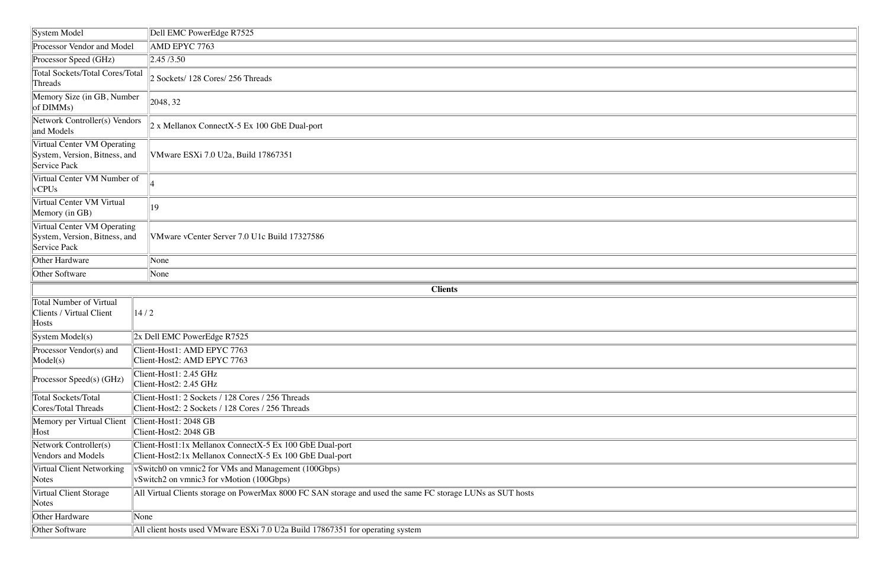| System Model                                                                     | Dell EMC PowerEdge R7525                                                                                             |  |  |  |  |  |  |
|----------------------------------------------------------------------------------|----------------------------------------------------------------------------------------------------------------------|--|--|--|--|--|--|
| Processor Vendor and Model                                                       | AMD EPYC 7763                                                                                                        |  |  |  |  |  |  |
| Processor Speed (GHz)                                                            | 2.45/3.50                                                                                                            |  |  |  |  |  |  |
| <b>Total Sockets/Total Cores/Total</b><br>Threads                                | 2 Sockets/ 128 Cores/ 256 Threads                                                                                    |  |  |  |  |  |  |
| Memory Size (in GB, Number<br>of DIMMs)                                          | 2048, 32                                                                                                             |  |  |  |  |  |  |
| Network Controller(s) Vendors<br>and Models                                      | 2 x Mellanox ConnectX-5 Ex 100 GbE Dual-port                                                                         |  |  |  |  |  |  |
| Virtual Center VM Operating<br>System, Version, Bitness, and<br>Service Pack     | VMware ESXi 7.0 U2a, Build 17867351                                                                                  |  |  |  |  |  |  |
| Virtual Center VM Number of<br>vCPUs                                             |                                                                                                                      |  |  |  |  |  |  |
| Virtual Center VM Virtual<br>Memory (in GB)                                      | 19                                                                                                                   |  |  |  |  |  |  |
| Virtual Center VM Operating<br>System, Version, Bitness, and<br>Service Pack     | VMware vCenter Server 7.0 U1c Build 17327586                                                                         |  |  |  |  |  |  |
| Other Hardware                                                                   | None                                                                                                                 |  |  |  |  |  |  |
| Other Software                                                                   | None                                                                                                                 |  |  |  |  |  |  |
|                                                                                  | <b>Clients</b>                                                                                                       |  |  |  |  |  |  |
| <b>Total Number of Virtual</b><br>Clients / Virtual Client                       | 14/2                                                                                                                 |  |  |  |  |  |  |
| Hosts                                                                            |                                                                                                                      |  |  |  |  |  |  |
| System Model(s)                                                                  | $2x$ Dell EMC PowerEdge R7525                                                                                        |  |  |  |  |  |  |
|                                                                                  | Client-Host1: AMD EPYC 7763<br>Client-Host2: AMD EPYC 7763                                                           |  |  |  |  |  |  |
| Processor Vendor(s) and<br>Model(s)<br>Processor Speed(s) (GHz)                  | Client-Host1: 2.45 GHz<br>Client-Host2: 2.45 GHz                                                                     |  |  |  |  |  |  |
| <b>Total Sockets/Total</b><br><b>Cores/Total Threads</b>                         | Client-Host1: 2 Sockets / 128 Cores / 256 Threads<br>Client-Host2: 2 Sockets / 128 Cores / 256 Threads               |  |  |  |  |  |  |
|                                                                                  | Client-Host1: 2048 GB<br>Client-Host2: 2048 GB                                                                       |  |  |  |  |  |  |
| Memory per Virtual Client<br>Host<br>Network Controller(s)<br>Vendors and Models | Client-Host1:1x Mellanox ConnectX-5 Ex 100 GbE Dual-port<br>Client-Host2:1x Mellanox ConnectX-5 Ex 100 GbE Dual-port |  |  |  |  |  |  |
| Virtual Client Networking<br><b>Notes</b>                                        | vSwitch0 on vmnic2 for VMs and Management (100Gbps)<br>vSwitch2 on vmnic3 for vMotion (100Gbps)                      |  |  |  |  |  |  |
| Virtual Client Storage<br><b>Notes</b>                                           | All Virtual Clients storage on PowerMax 8000 FC SAN storage and used the same FC storage LUNs as SUT hosts           |  |  |  |  |  |  |
| Other Hardware                                                                   | None                                                                                                                 |  |  |  |  |  |  |
| <b>Other Software</b>                                                            | All client hosts used VMware ESXi 7.0 U2a Build 17867351 for operating system                                        |  |  |  |  |  |  |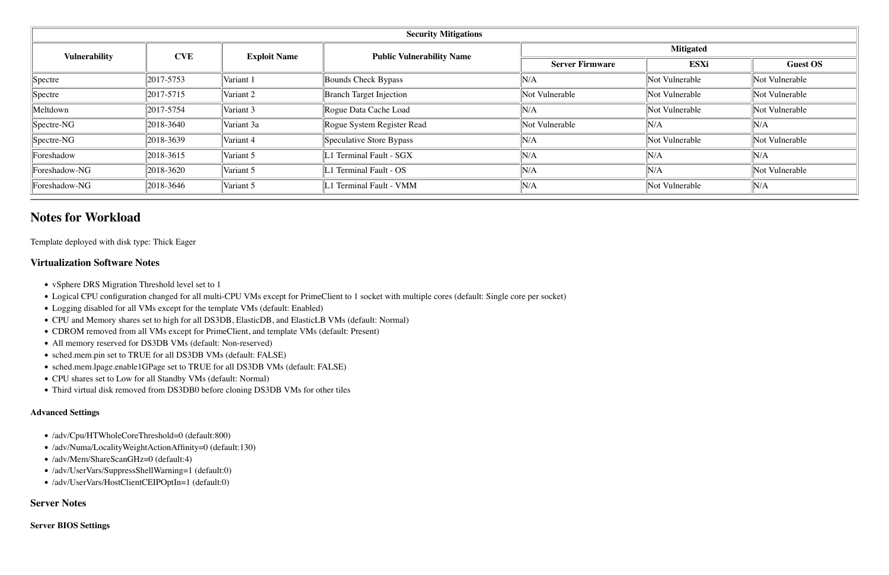| <b>Security Mitigations</b> |            |                     |                                  |                        |                |                 |  |  |  |
|-----------------------------|------------|---------------------|----------------------------------|------------------------|----------------|-----------------|--|--|--|
| <b>Vulnerability</b>        | <b>CVE</b> | <b>Exploit Name</b> | <b>Public Vulnerability Name</b> | <b>Mitigated</b>       |                |                 |  |  |  |
|                             |            |                     |                                  | <b>Server Firmware</b> | <b>ESXi</b>    | <b>Guest OS</b> |  |  |  |
| Spectre                     | 2017-5753  | Variant 1           | Bounds Check Bypass              | N/A                    | Not Vulnerable | Not Vulnerable  |  |  |  |
| Spectre                     | 2017-5715  | Variant 2           | <b>Branch Target Injection</b>   | Not Vulnerable         | Not Vulnerable | Not Vulnerable  |  |  |  |
| Meltdown                    | 2017-5754  | Variant 3           | Rogue Data Cache Load            | N/A                    | Not Vulnerable | Not Vulnerable  |  |  |  |
| $ Spectre-NG $              | 2018-3640  | Variant 3a          | Rogue System Register Read       | Not Vulnerable         | N/A            | N/A             |  |  |  |
| $Spectre-NG$                | 2018-3639  | Variant 4           | Speculative Store Bypass         | N/A                    | Not Vulnerable | Not Vulnerable  |  |  |  |
| Foreshadow                  | 2018-3615  | Variant 5           | 1 Terminal Fault - SGX           | N/A                    | N/A            | N/A             |  |  |  |
| Foreshadow-NG               | 2018-3620  | Variant 5           | 1 Terminal Fault - OS            | N/A                    | N/A            | Not Vulnerable  |  |  |  |
| Foreshadow-NG               | 2018-3646  | Variant 5           | 1 Terminal Fault - VMM           | N/A                    | Not Vulnerable | N/A             |  |  |  |

### **Notes for Workload**

Template deployed with disk type: Thick Eager

#### **Virtualization Software Notes**

- vSphere DRS Migration Threshold level set to 1
- !"Logical CPU configuration changed for all multi-CPU VMs except for PrimeClient to 1 socket with multiple cores (default: Single core per socket)
- Logging disabled for all VMs except for the template VMs (default: Enabled)
- !"CPU and Memory shares set to high for all DS3DB, ElasticDB, and ElasticLB VMs (default: Normal)
- CDROM removed from all VMs except for PrimeClient, and template VMs (default: Present)
- All memory reserved for DS3DB VMs (default: Non-reserved)
- sched.mem.pin set to TRUE for all DS3DB VMs (default: FALSE)
- sched.mem.lpage.enable1GPage set to TRUE for all DS3DB VMs (default: FALSE)
- CPU shares set to Low for all Standby VMs (default: Normal)
- Third virtual disk removed from DS3DB0 before cloning DS3DB VMs for other tiles

#### **Advanced Settings**

- /adv/Cpu/HTWholeCoreThreshold=0 (default:800)
- /adv/Numa/LocalityWeightActionAffinity=0 (default:130)
- /adv/Mem/ShareScanGHz=0 (default:4)
- /adv/UserVars/SuppressShellWarning=1 (default:0)
- /adv/UserVars/HostClientCEIPOptIn=1 (default:0)

#### **Server Notes**

#### **Server BIOS Settings**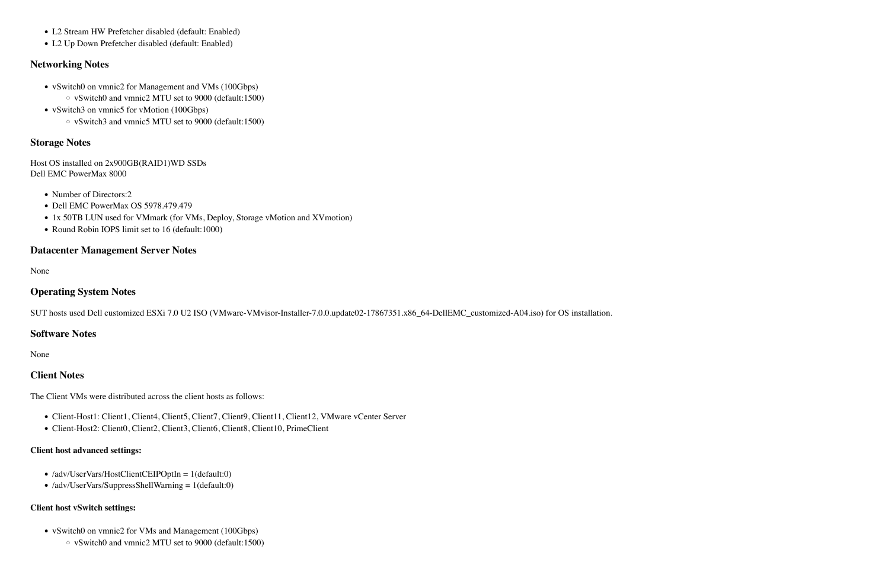- L2 Stream HW Prefetcher disabled (default: Enabled)
- L2 Up Down Prefetcher disabled (default: Enabled)

#### **Networking Notes**

- vSwitch0 on vmnic2 for Management and VMs (100Gbps)
	- $\circ$  vSwitch0 and vmnic2 MTU set to 9000 (default:1500)
- vSwitch3 on vmnic5 for vMotion (100Gbps)
	- $\circ$  vSwitch3 and vmnic5 MTU set to 9000 (default:1500)

#### **Storage Notes**

Host OS installed on 2x900GB(RAID1)WD SSDs Dell EMC PowerMax 8000

- Number of Directors:2
- Dell EMC PowerMax OS 5978.479.479
- 1x 50TB LUN used for VMmark (for VMs, Deploy, Storage vMotion and XVmotion)
- Round Robin IOPS limit set to 16 (default:1000)

- Client-Host1: Client1, Client4, Client5, Client7, Client9, Client11, Client12, VMware vCenter Server
- !"Client-Host2: Client0, Client2, Client3, Client6, Client8, Client10, PrimeClient

### **Datacenter Management Server Notes**

None

### **Operating System Notes**

SUT hosts used Dell customized ESXi 7.0 U2 ISO (VMware-VMvisor-Installer-7.0.0.update02-17867351.x86\_64-DellEMC\_customized-A04.iso) for OS installation.

#### **Software Notes**

None

#### **Client Notes**

The Client VMs were distributed across the client hosts as follows:

#### **Client host advanced settings:**

- /adv/UserVars/HostClientCEIPOptIn = 1(default:0)
- $\bullet$  /adv/UserVars/SuppressShellWarning = 1(default:0)

#### **Client host vSwitch settings:**

- vSwitch0 on vmnic2 for VMs and Management (100Gbps)
	- $\circ$  vSwitch0 and vmnic2 MTU set to 9000 (default:1500)